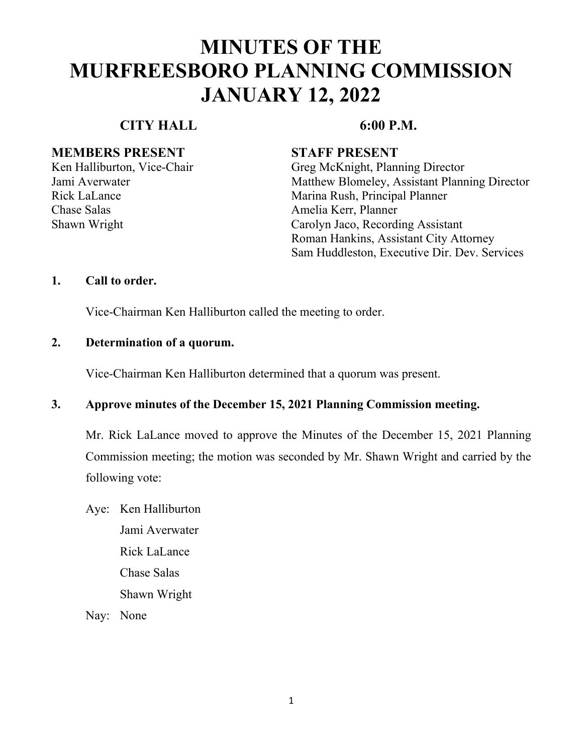### **CITY HALL 6:00 P.M.**

#### **MEMBERS PRESENT STAFF PRESENT**

Chase Salas Amelia Kerr, Planner

Ken Halliburton, Vice-Chair Greg McKnight, Planning Director Jami Averwater Matthew Blomeley, Assistant Planning Director Rick LaLance Marina Rush, Principal Planner Shawn Wright Carolyn Jaco, Recording Assistant Roman Hankins, Assistant City Attorney Sam Huddleston, Executive Dir. Dev. Services

#### **1. Call to order.**

Vice-Chairman Ken Halliburton called the meeting to order.

### **2. Determination of a quorum.**

Vice-Chairman Ken Halliburton determined that a quorum was present.

### **3. Approve minutes of the December 15, 2021 Planning Commission meeting.**

Mr. Rick LaLance moved to approve the Minutes of the December 15, 2021 Planning Commission meeting; the motion was seconded by Mr. Shawn Wright and carried by the following vote:

Aye: Ken Halliburton Jami Averwater Rick LaLance Chase Salas Shawn Wright

Nay: None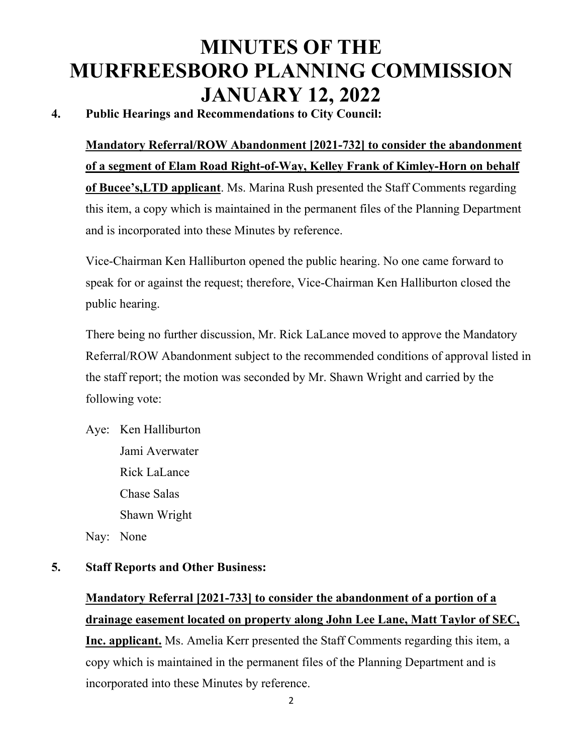### **4. Public Hearings and Recommendations to City Council:**

**Mandatory Referral/ROW Abandonment [2021-732] to consider the abandonment of a segment of Elam Road Right-of-Way, Kelley Frank of Kimley-Horn on behalf of Bucee's,LTD applicant**. Ms. Marina Rush presented the Staff Comments regarding this item, a copy which is maintained in the permanent files of the Planning Department and is incorporated into these Minutes by reference.

Vice-Chairman Ken Halliburton opened the public hearing. No one came forward to speak for or against the request; therefore, Vice-Chairman Ken Halliburton closed the public hearing.

There being no further discussion, Mr. Rick LaLance moved to approve the Mandatory Referral/ROW Abandonment subject to the recommended conditions of approval listed in the staff report; the motion was seconded by Mr. Shawn Wright and carried by the following vote:

Aye: Ken Halliburton Jami Averwater Rick LaLance Chase Salas Shawn Wright

Nay: None

### **5. Staff Reports and Other Business:**

## **Mandatory Referral [2021-733] to consider the abandonment of a portion of a drainage easement located on property along John Lee Lane, Matt Taylor of SEC,**

**Inc. applicant.** Ms. Amelia Kerr presented the Staff Comments regarding this item, a copy which is maintained in the permanent files of the Planning Department and is incorporated into these Minutes by reference.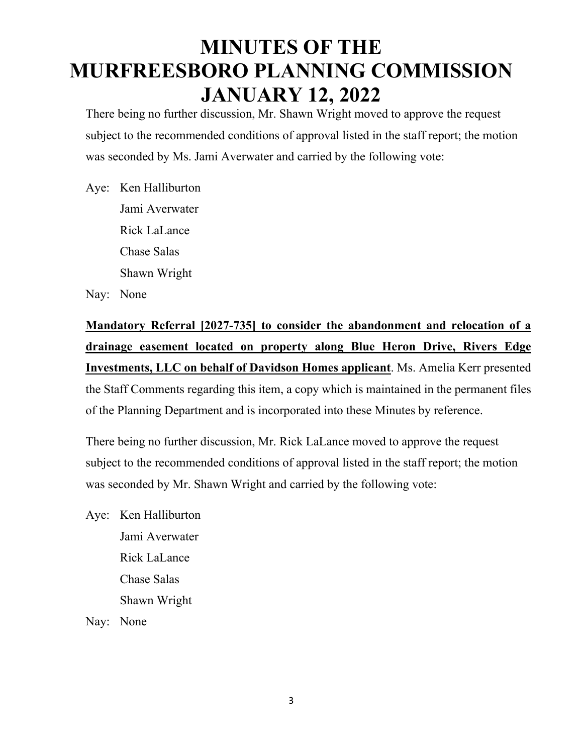There being no further discussion, Mr. Shawn Wright moved to approve the request subject to the recommended conditions of approval listed in the staff report; the motion was seconded by Ms. Jami Averwater and carried by the following vote:

Aye: Ken Halliburton Jami Averwater Rick LaLance Chase Salas Shawn Wright

Nay: None

**Mandatory Referral [2027-735] to consider the abandonment and relocation of a drainage easement located on property along Blue Heron Drive, Rivers Edge Investments, LLC on behalf of Davidson Homes applicant**. Ms. Amelia Kerr presented the Staff Comments regarding this item, a copy which is maintained in the permanent files of the Planning Department and is incorporated into these Minutes by reference.

There being no further discussion, Mr. Rick LaLance moved to approve the request subject to the recommended conditions of approval listed in the staff report; the motion was seconded by Mr. Shawn Wright and carried by the following vote:

Aye: Ken Halliburton Jami Averwater Rick LaLance Chase Salas Shawn Wright

Nay: None